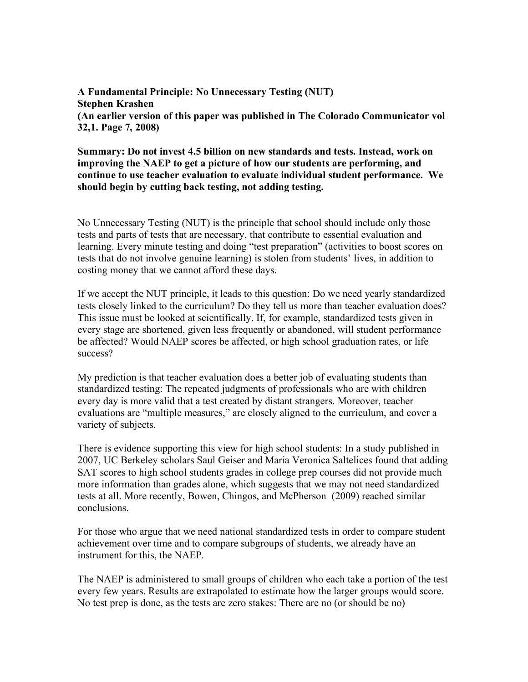**A Fundamental Principle: No Unnecessary Testing (NUT) Stephen Krashen (An earlier version of this paper was published in The Colorado Communicator vol 32,1. Page 7, 2008)**

## **Summary: Do not invest 4.5 billion on new standards and tests. Instead, work on improving the NAEP to get a picture of how our students are performing, and continue to use teacher evaluation to evaluate individual student performance. We should begin by cutting back testing, not adding testing.**

No Unnecessary Testing (NUT) is the principle that school should include only those tests and parts of tests that are necessary, that contribute to essential evaluation and learning. Every minute testing and doing "test preparation" (activities to boost scores on tests that do not involve genuine learning) is stolen from students' lives, in addition to costing money that we cannot afford these days.

If we accept the NUT principle, it leads to this question: Do we need yearly standardized tests closely linked to the curriculum? Do they tell us more than teacher evaluation does? This issue must be looked at scientifically. If, for example, standardized tests given in every stage are shortened, given less frequently or abandoned, will student performance be affected? Would NAEP scores be affected, or high school graduation rates, or life success?

My prediction is that teacher evaluation does a better job of evaluating students than standardized testing: The repeated judgments of professionals who are with children every day is more valid that a test created by distant strangers. Moreover, teacher evaluations are "multiple measures," are closely aligned to the curriculum, and cover a variety of subjects.

There is evidence supporting this view for high school students: In a study published in 2007, UC Berkeley scholars Saul Geiser and Maria Veronica Saltelices found that adding SAT scores to high school students grades in college prep courses did not provide much more information than grades alone, which suggests that we may not need standardized tests at all. More recently, Bowen, Chingos, and McPherson (2009) reached similar conclusions.

For those who argue that we need national standardized tests in order to compare student achievement over time and to compare subgroups of students, we already have an instrument for this, the NAEP.

The NAEP is administered to small groups of children who each take a portion of the test every few years. Results are extrapolated to estimate how the larger groups would score. No test prep is done, as the tests are zero stakes: There are no (or should be no)